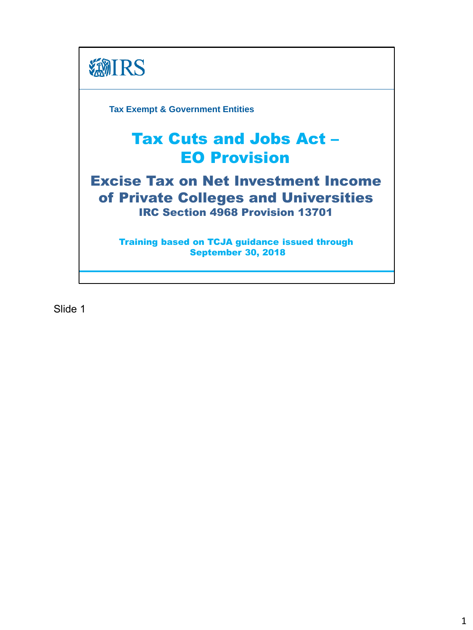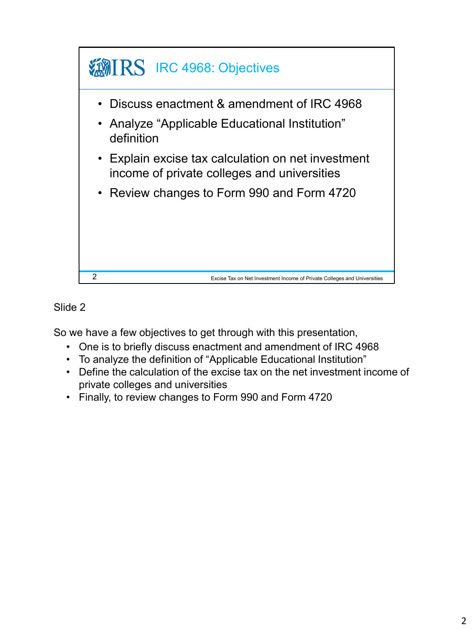

So we have a few objectives to get through with this presentation,

- One is to briefly discuss enactment and amendment of IRC 4968
- To analyze the definition of "Applicable Educational Institution"
- Define the calculation of the excise tax on the net investment income of private colleges and universities
- Finally, to review changes to Form 990 and Form 4720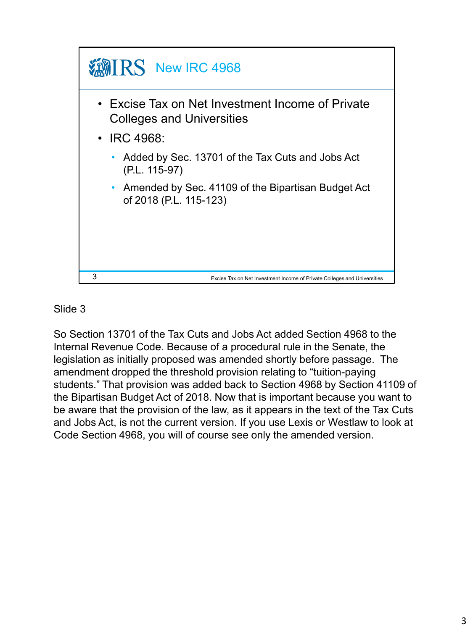

So Section 13701 of the Tax Cuts and Jobs Act added Section 4968 to the Internal Revenue Code. Because of a procedural rule in the Senate, the legislation as initially proposed was amended shortly before passage. The amendment dropped the threshold provision relating to "tuition-paying students." That provision was added back to Section 4968 by Section 41109 of the Bipartisan Budget Act of 2018. Now that is important because you want to be aware that the provision of the law, as it appears in the text of the Tax Cuts and Jobs Act, is not the current version. If you use Lexis or Westlaw to look at Code Section 4968, you will of course see only the amended version.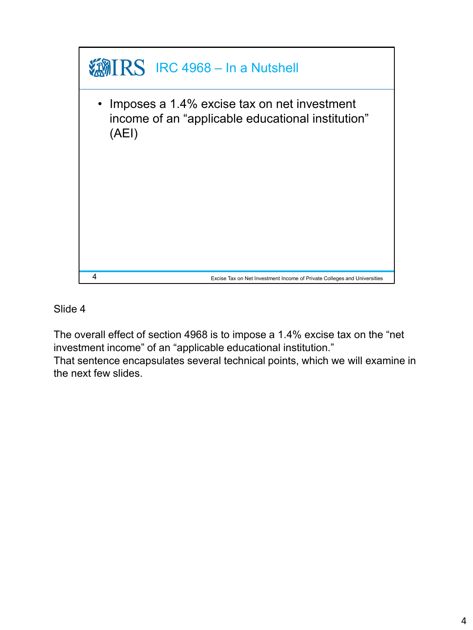

The overall effect of section 4968 is to impose a 1.4% excise tax on the "net investment income" of an "applicable educational institution."

That sentence encapsulates several technical points, which we will examine in the next few slides.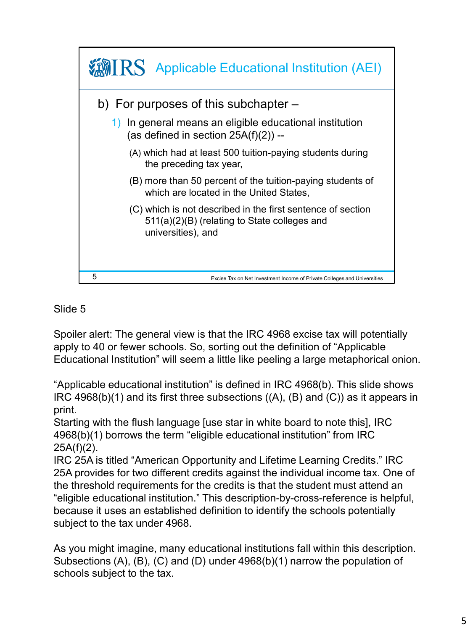

Spoiler alert: The general view is that the IRC 4968 excise tax will potentially apply to 40 or fewer schools. So, sorting out the definition of "Applicable Educational Institution" will seem a little like peeling a large metaphorical onion.

"Applicable educational institution" is defined in IRC 4968(b). This slide shows IRC 4968(b)(1) and its first three subsections  $((A), (B)$  and  $(C))$  as it appears in print.

Starting with the flush language [use star in white board to note this], IRC 4968(b)(1) borrows the term "eligible educational institution" from IRC 25A(f)(2).

IRC 25A is titled "American Opportunity and Lifetime Learning Credits." IRC 25A provides for two different credits against the individual income tax. One of the threshold requirements for the credits is that the student must attend an "eligible educational institution." This description-by-cross-reference is helpful, because it uses an established definition to identify the schools potentially subject to the tax under 4968.

As you might imagine, many educational institutions fall within this description. Subsections (A), (B), (C) and (D) under 4968(b)(1) narrow the population of schools subject to the tax.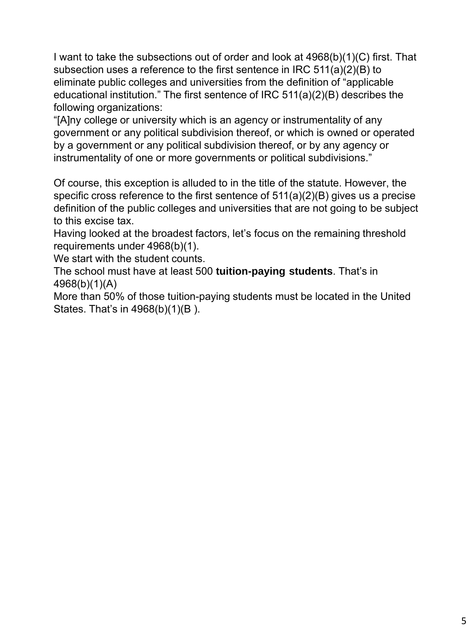I want to take the subsections out of order and look at 4968(b)(1)(C) first. That subsection uses a reference to the first sentence in IRC 511(a)(2)(B) to eliminate public colleges and universities from the definition of "applicable educational institution." The first sentence of IRC 511(a)(2)(B) describes the following organizations:

"[A]ny college or university which is an agency or instrumentality of any government or any political subdivision thereof, or which is owned or operated by a government or any political subdivision thereof, or by any agency or instrumentality of one or more governments or political subdivisions."

Of course, this exception is alluded to in the title of the statute. However, the specific cross reference to the first sentence of 511(a)(2)(B) gives us a precise definition of the public colleges and universities that are not going to be subject to this excise tax.

Having looked at the broadest factors, let's focus on the remaining threshold requirements under 4968(b)(1).

We start with the student counts.

The school must have at least 500 **tuition-paying students**. That's in 4968(b)(1)(A)

More than 50% of those tuition-paying students must be located in the United States. That's in 4968(b)(1)(B ).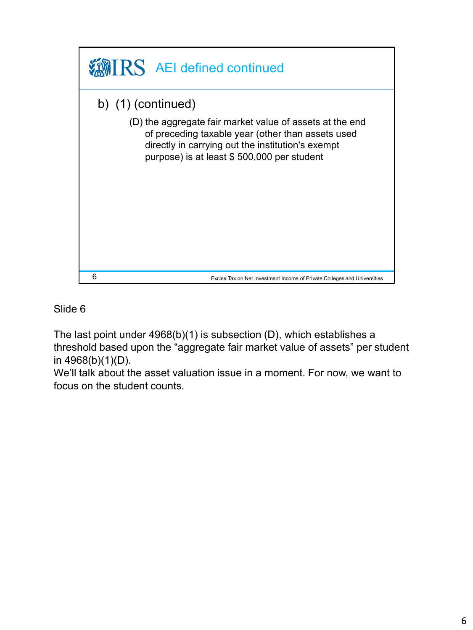

The last point under 4968(b)(1) is subsection (D), which establishes a threshold based upon the "aggregate fair market value of assets" per student in 4968(b)(1)(D).

We'll talk about the asset valuation issue in a moment. For now, we want to focus on the student counts.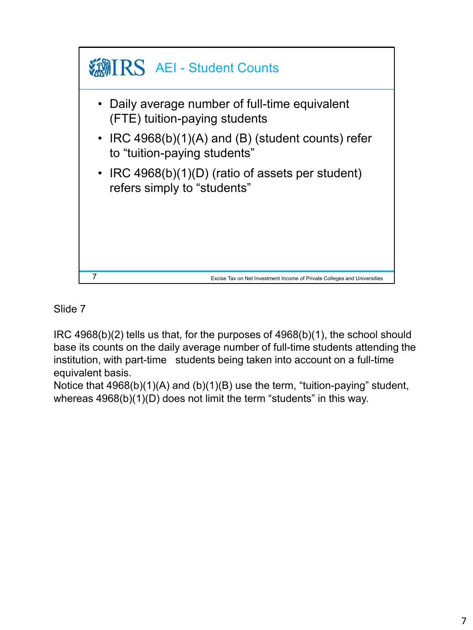

IRC 4968(b)(2) tells us that, for the purposes of 4968(b)(1), the school should base its counts on the daily average number of full-time students attending the institution, with part-time students being taken into account on a full-time equivalent basis.

Notice that 4968(b)(1)(A) and (b)(1)(B) use the term, "tuition-paying" student, whereas 4968(b)(1)(D) does not limit the term "students" in this way.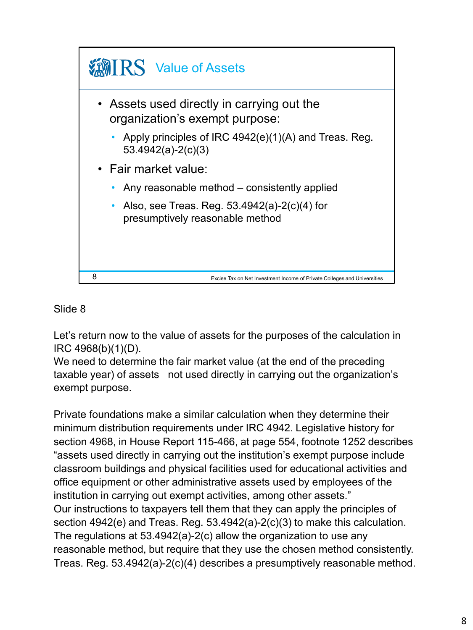

Let's return now to the value of assets for the purposes of the calculation in IRC 4968(b)(1)(D).

We need to determine the fair market value (at the end of the preceding taxable year) of assets not used directly in carrying out the organization's exempt purpose.

Private foundations make a similar calculation when they determine their minimum distribution requirements under IRC 4942. Legislative history for section 4968, in House Report 115-466, at page 554, footnote 1252 describes "assets used directly in carrying out the institution's exempt purpose include classroom buildings and physical facilities used for educational activities and office equipment or other administrative assets used by employees of the institution in carrying out exempt activities, among other assets." Our instructions to taxpayers tell them that they can apply the principles of section 4942(e) and Treas. Reg. 53.4942(a)-2(c)(3) to make this calculation. The regulations at 53.4942(a)-2(c) allow the organization to use any reasonable method, but require that they use the chosen method consistently. Treas. Reg. 53.4942(a)-2(c)(4) describes a presumptively reasonable method.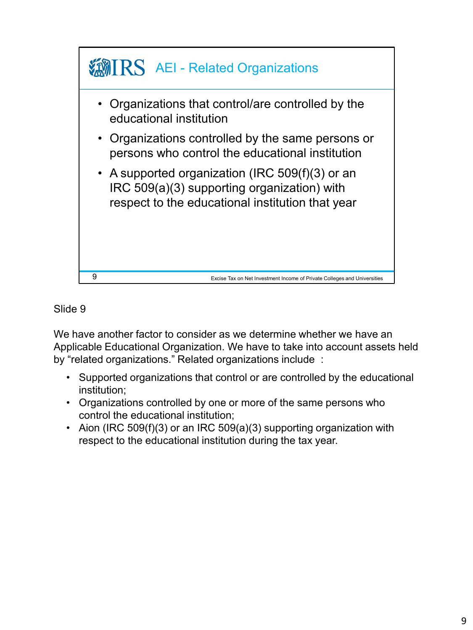

We have another factor to consider as we determine whether we have an Applicable Educational Organization. We have to take into account assets held by "related organizations." Related organizations include :

- Supported organizations that control or are controlled by the educational institution;
- Organizations controlled by one or more of the same persons who control the educational institution;
- Aion (IRC 509(f)(3) or an IRC 509(a)(3) supporting organization with respect to the educational institution during the tax year.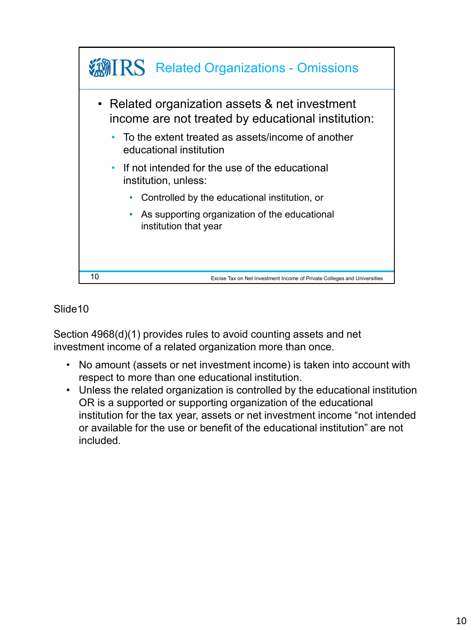

Section 4968(d)(1) provides rules to avoid counting assets and net investment income of a related organization more than once.

- No amount (assets or net investment income) is taken into account with respect to more than one educational institution.
- Unless the related organization is controlled by the educational institution OR is a supported or supporting organization of the educational institution for the tax year, assets or net investment income "not intended or available for the use or benefit of the educational institution" are not included.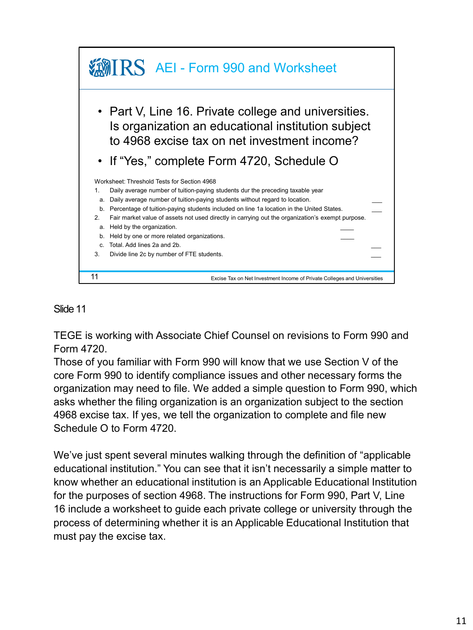

TEGE is working with Associate Chief Counsel on revisions to Form 990 and Form 4720.

Those of you familiar with Form 990 will know that we use Section V of the core Form 990 to identify compliance issues and other necessary forms the organization may need to file. We added a simple question to Form 990, which asks whether the filing organization is an organization subject to the section 4968 excise tax. If yes, we tell the organization to complete and file new Schedule O to Form 4720.

We've just spent several minutes walking through the definition of "applicable educational institution." You can see that it isn't necessarily a simple matter to know whether an educational institution is an Applicable Educational Institution for the purposes of section 4968. The instructions for Form 990, Part V, Line 16 include a worksheet to guide each private college or university through the process of determining whether it is an Applicable Educational Institution that must pay the excise tax.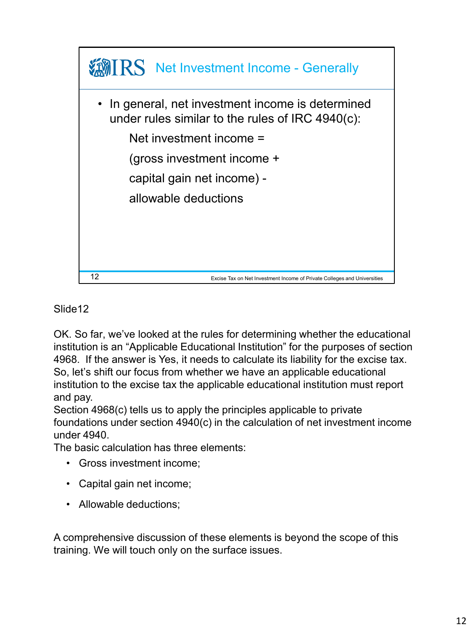

OK. So far, we've looked at the rules for determining whether the educational institution is an "Applicable Educational Institution" for the purposes of section 4968. If the answer is Yes, it needs to calculate its liability for the excise tax. So, let's shift our focus from whether we have an applicable educational institution to the excise tax the applicable educational institution must report and pay.

Section 4968(c) tells us to apply the principles applicable to private foundations under section 4940(c) in the calculation of net investment income under 4940.

The basic calculation has three elements:

- Gross investment income;
- Capital gain net income;
- Allowable deductions;

A comprehensive discussion of these elements is beyond the scope of this training. We will touch only on the surface issues.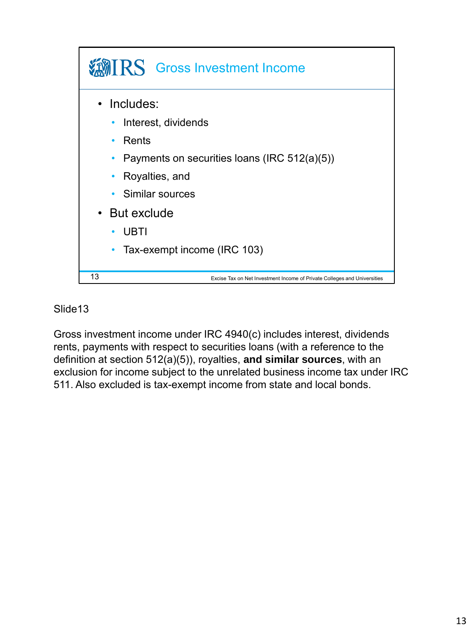

Gross investment income under IRC 4940(c) includes interest, dividends rents, payments with respect to securities loans (with a reference to the definition at section 512(a)(5)), royalties, **and similar sources**, with an exclusion for income subject to the unrelated business income tax under IRC 511. Also excluded is tax-exempt income from state and local bonds.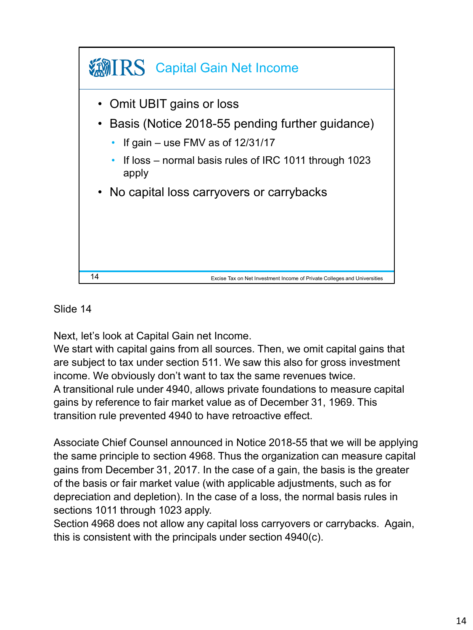

Next, let's look at Capital Gain net Income.

We start with capital gains from all sources. Then, we omit capital gains that are subject to tax under section 511. We saw this also for gross investment income. We obviously don't want to tax the same revenues twice. A transitional rule under 4940, allows private foundations to measure capital gains by reference to fair market value as of December 31, 1969. This transition rule prevented 4940 to have retroactive effect.

Associate Chief Counsel announced in Notice 2018-55 that we will be applying the same principle to section 4968. Thus the organization can measure capital gains from December 31, 2017. In the case of a gain, the basis is the greater of the basis or fair market value (with applicable adjustments, such as for depreciation and depletion). In the case of a loss, the normal basis rules in sections 1011 through 1023 apply.

Section 4968 does not allow any capital loss carryovers or carrybacks. Again, this is consistent with the principals under section 4940(c).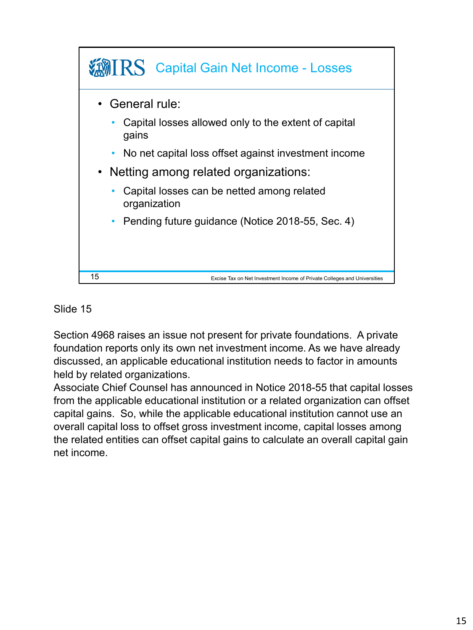

Section 4968 raises an issue not present for private foundations. A private foundation reports only its own net investment income. As we have already discussed, an applicable educational institution needs to factor in amounts held by related organizations.

Associate Chief Counsel has announced in Notice 2018-55 that capital losses from the applicable educational institution or a related organization can offset capital gains. So, while the applicable educational institution cannot use an overall capital loss to offset gross investment income, capital losses among the related entities can offset capital gains to calculate an overall capital gain net income.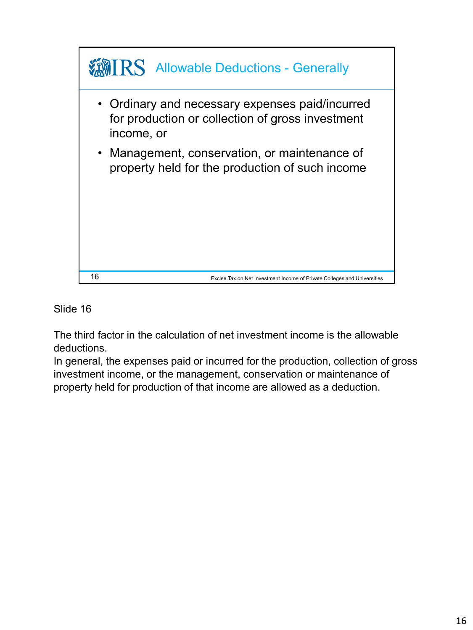

The third factor in the calculation of net investment income is the allowable deductions.

In general, the expenses paid or incurred for the production, collection of gross investment income, or the management, conservation or maintenance of property held for production of that income are allowed as a deduction.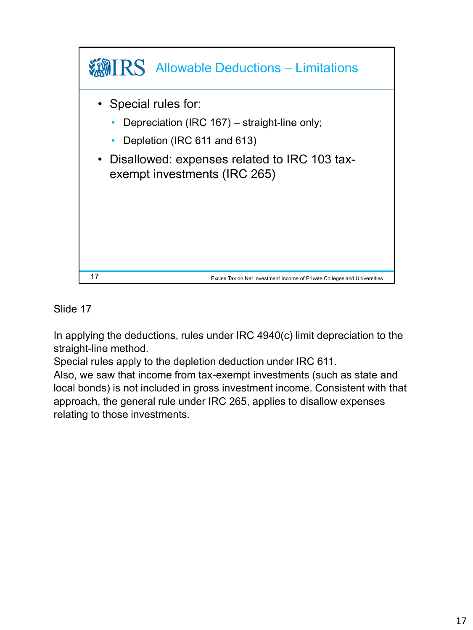

In applying the deductions, rules under IRC 4940(c) limit depreciation to the straight-line method.

Special rules apply to the depletion deduction under IRC 611.

Also, we saw that income from tax-exempt investments (such as state and local bonds) is not included in gross investment income. Consistent with that approach, the general rule under IRC 265, applies to disallow expenses relating to those investments.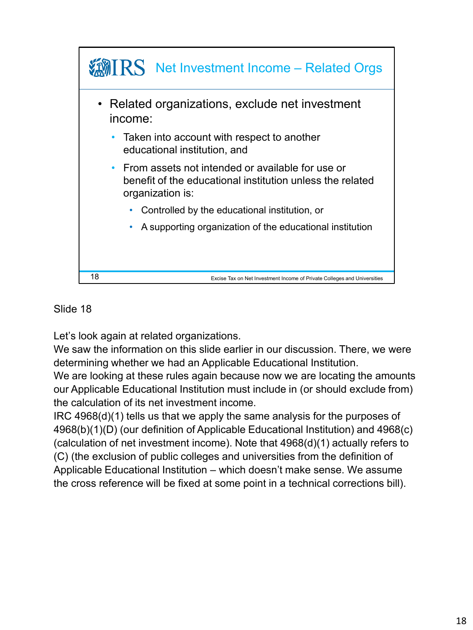

Let's look again at related organizations.

We saw the information on this slide earlier in our discussion. There, we were determining whether we had an Applicable Educational Institution.

We are looking at these rules again because now we are locating the amounts our Applicable Educational Institution must include in (or should exclude from) the calculation of its net investment income.

IRC 4968(d)(1) tells us that we apply the same analysis for the purposes of 4968(b)(1)(D) (our definition of Applicable Educational Institution) and 4968(c) (calculation of net investment income). Note that 4968(d)(1) actually refers to (C) (the exclusion of public colleges and universities from the definition of Applicable Educational Institution – which doesn't make sense. We assume the cross reference will be fixed at some point in a technical corrections bill).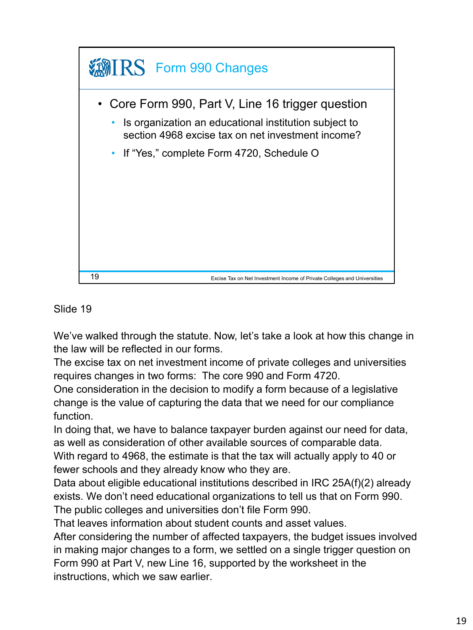

We've walked through the statute. Now, let's take a look at how this change in the law will be reflected in our forms.

The excise tax on net investment income of private colleges and universities requires changes in two forms: The core 990 and Form 4720.

One consideration in the decision to modify a form because of a legislative change is the value of capturing the data that we need for our compliance function.

In doing that, we have to balance taxpayer burden against our need for data, as well as consideration of other available sources of comparable data.

With regard to 4968, the estimate is that the tax will actually apply to 40 or fewer schools and they already know who they are.

Data about eligible educational institutions described in IRC 25A(f)(2) already exists. We don't need educational organizations to tell us that on Form 990. The public colleges and universities don't file Form 990.

That leaves information about student counts and asset values.

After considering the number of affected taxpayers, the budget issues involved in making major changes to a form, we settled on a single trigger question on Form 990 at Part V, new Line 16, supported by the worksheet in the instructions, which we saw earlier.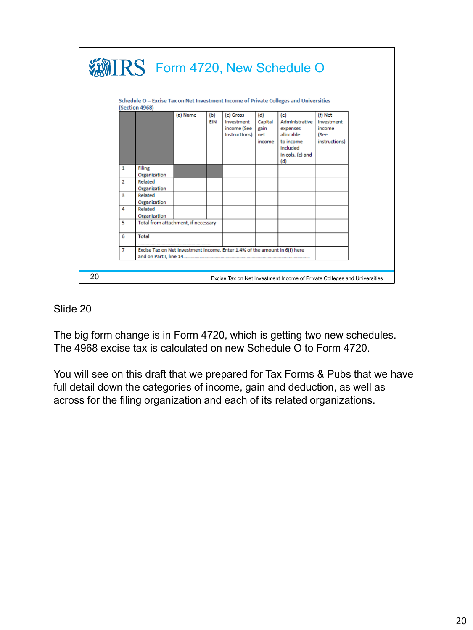

The big form change is in Form 4720, which is getting two new schedules. The 4968 excise tax is calculated on new Schedule O to Form 4720.

You will see on this draft that we prepared for Tax Forms & Pubs that we have full detail down the categories of income, gain and deduction, as well as across for the filing organization and each of its related organizations.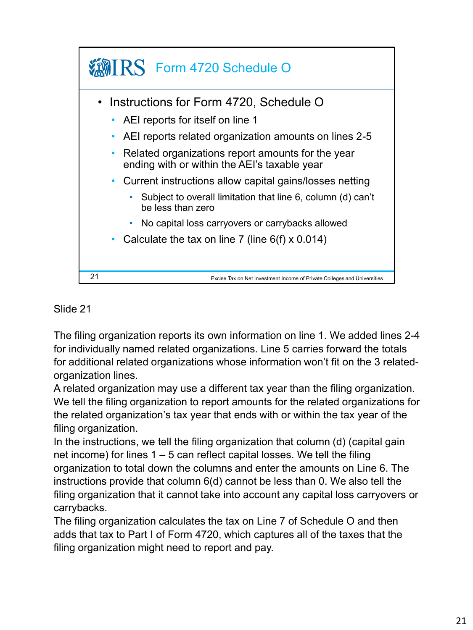

The filing organization reports its own information on line 1. We added lines 2-4 for individually named related organizations. Line 5 carries forward the totals for additional related organizations whose information won't fit on the 3 relatedorganization lines.

A related organization may use a different tax year than the filing organization. We tell the filing organization to report amounts for the related organizations for the related organization's tax year that ends with or within the tax year of the filing organization.

In the instructions, we tell the filing organization that column (d) (capital gain net income) for lines 1 – 5 can reflect capital losses. We tell the filing organization to total down the columns and enter the amounts on Line 6. The instructions provide that column 6(d) cannot be less than 0. We also tell the filing organization that it cannot take into account any capital loss carryovers or carrybacks.

The filing organization calculates the tax on Line 7 of Schedule O and then adds that tax to Part I of Form 4720, which captures all of the taxes that the filing organization might need to report and pay.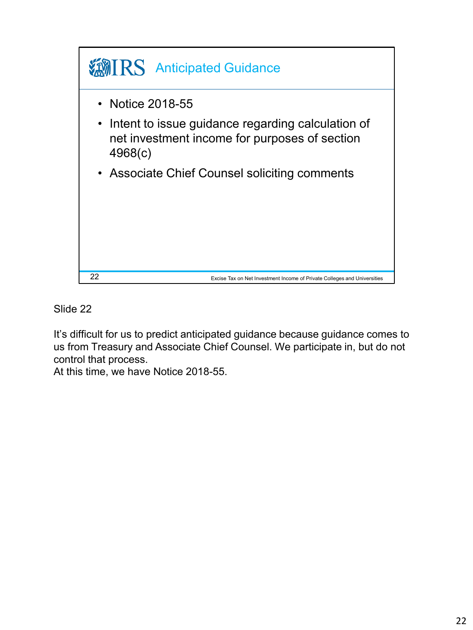

It's difficult for us to predict anticipated guidance because guidance comes to us from Treasury and Associate Chief Counsel. We participate in, but do not control that process.

At this time, we have Notice 2018-55.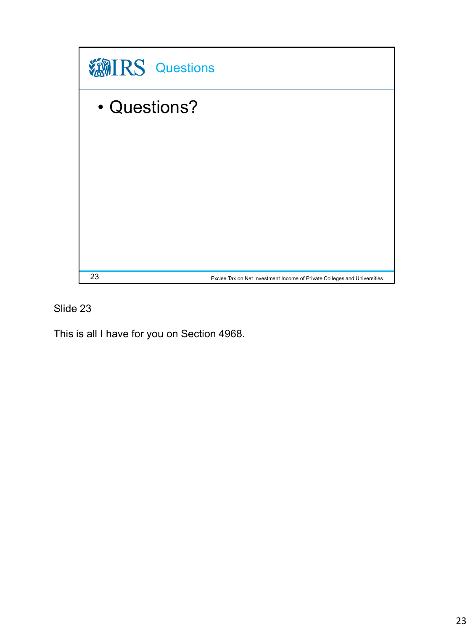

This is all I have for you on Section 4968.